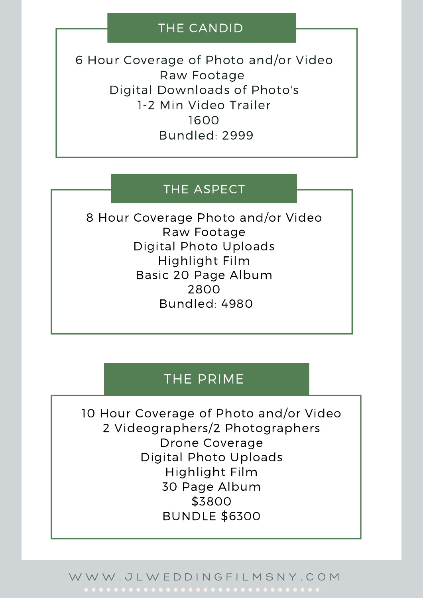### THE CANDID

6 Hour Coverage of Photo and/or Video Raw Footage Digital Downloads of Photo's 1-2 Min Video Trailer 1600 Bundled: 2999

### THE ASPECT

8 Hour Coverage Photo and/or Video Raw Footage Digital Photo Uploads Highlight Film Basic 20 Page Album 2800 Bundled: 4980

## THE PRIME

10 Hour Coverage of Photo and/or Video 2 Videographers/2 Photographers Drone Coverage Digital Photo Uploads Highlight Film 30 Page Album \$3800 BUNDLE \$6300

W W W . J L W E D D I N G F I L M S N Y . C O M